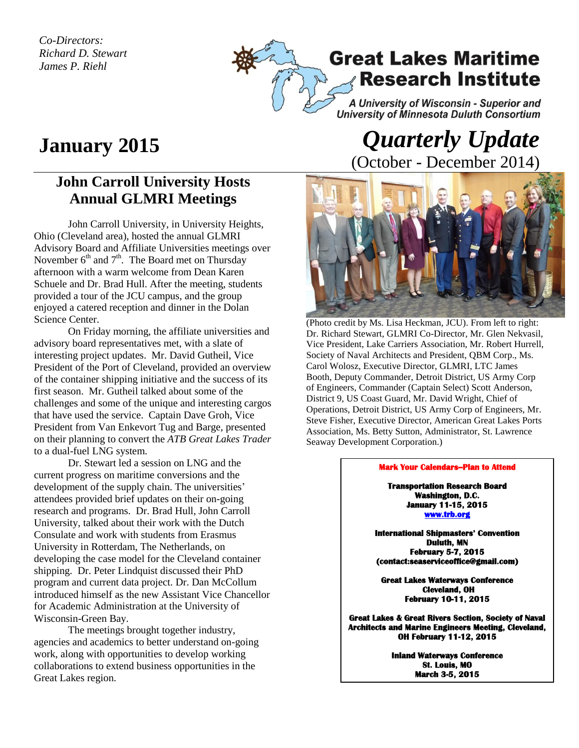*Co-Directors: Richard D. Stewart James P. Riehl*



## **January 2015**

## **John Carroll University Hosts Annual GLMRI Meetings**

John Carroll University, in University Heights, Ohio (Cleveland area), hosted the annual GLMRI Advisory Board and Affiliate Universities meetings over November  $6<sup>th</sup>$  and  $7<sup>th</sup>$ . The Board met on Thursday afternoon with a warm welcome from Dean Karen Schuele and Dr. Brad Hull. After the meeting, students provided a tour of the JCU campus, and the group enjoyed a catered reception and dinner in the Dolan Science Center.

On Friday morning, the affiliate universities and advisory board representatives met, with a slate of interesting project updates. Mr. David Gutheil, Vice President of the Port of Cleveland, provided an overview of the container shipping initiative and the success of its first season. Mr. Gutheil talked about some of the challenges and some of the unique and interesting cargos that have used the service. Captain Dave Groh, Vice President from Van Enkevort Tug and Barge, presented on their planning to convert the *ATB Great Lakes Trader*  to a dual-fuel LNG system.

Dr. Stewart led a session on LNG and the current progress on maritime conversions and the development of the supply chain. The universities' attendees provided brief updates on their on-going research and programs. Dr. Brad Hull, John Carroll University, talked about their work with the Dutch Consulate and work with students from Erasmus University in Rotterdam, The Netherlands, on developing the case model for the Cleveland container shipping. Dr. Peter Lindquist discussed their PhD program and current data project. Dr. Dan McCollum introduced himself as the new Assistant Vice Chancellor for Academic Administration at the University of Wisconsin-Green Bay.

The meetings brought together industry, agencies and academics to better understand on-going work, along with opportunities to develop working collaborations to extend business opportunities in the Great Lakes region.

## *Quarterly Update*  (October - December 2014)



(Photo credit by Ms. Lisa Heckman, JCU). From left to right: Dr. Richard Stewart, GLMRI Co-Director, Mr. Glen Nekvasil, Vice President, Lake Carriers Association, Mr. Robert Hurrell, Society of Naval Architects and President, QBM Corp., Ms. Carol Wolosz, Executive Director, GLMRI, LTC James Booth, Deputy Commander, Detroit District, US Army Corp of Engineers, Commander (Captain Select) Scott Anderson, District 9, US Coast Guard, Mr. David Wright, Chief of Operations, Detroit District, US Army Corp of Engineers, Mr. Steve Fisher, Executive Director, American Great Lakes Ports Association, Ms. Betty Sutton, Administrator, St. Lawrence Seaway Development Corporation.)

## **Mark Your Calendars--Plan to Attend**

**Transportation Research Board Washington, D.C. January 11-15, 2015 [www.trb.org](http://www.trb.org/)** 

**International Shipmasters' Convention Duluth, MN February 5-7, 2015 (contact:seaserviceoffice@gmail.com)** 

**Great Lakes Waterways Conference Cleveland, OH February 10-11, 2015** 

**Great Lakes & Great Rivers Section, Society of Naval Architects and Marine Engineers Meeting, Cleveland, OH February 11-12, 2015** 

> **Inland Waterways Conference St. Louis, MO March 3-5, 2015**